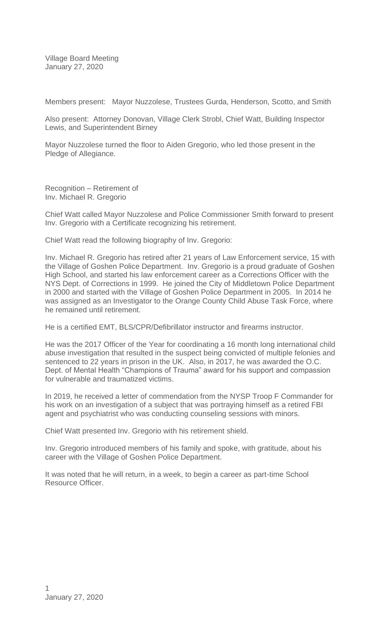Village Board Meeting January 27, 2020

Members present: Mayor Nuzzolese, Trustees Gurda, Henderson, Scotto, and Smith

Also present: Attorney Donovan, Village Clerk Strobl, Chief Watt, Building Inspector Lewis, and Superintendent Birney

Mayor Nuzzolese turned the floor to Aiden Gregorio, who led those present in the Pledge of Allegiance.

Recognition – Retirement of Inv. Michael R. Gregorio

Chief Watt called Mayor Nuzzolese and Police Commissioner Smith forward to present Inv. Gregorio with a Certificate recognizing his retirement.

Chief Watt read the following biography of Inv. Gregorio:

Inv. Michael R. Gregorio has retired after 21 years of Law Enforcement service, 15 with the Village of Goshen Police Department. Inv. Gregorio is a proud graduate of Goshen High School, and started his law enforcement career as a Corrections Officer with the NYS Dept. of Corrections in 1999. He joined the City of Middletown Police Department in 2000 and started with the Village of Goshen Police Department in 2005. In 2014 he was assigned as an Investigator to the Orange County Child Abuse Task Force, where he remained until retirement.

He is a certified EMT, BLS/CPR/Defibrillator instructor and firearms instructor.

He was the 2017 Officer of the Year for coordinating a 16 month long international child abuse investigation that resulted in the suspect being convicted of multiple felonies and sentenced to 22 years in prison in the UK. Also, in 2017, he was awarded the O.C. Dept. of Mental Health "Champions of Trauma" award for his support and compassion for vulnerable and traumatized victims.

In 2019, he received a letter of commendation from the NYSP Troop F Commander for his work on an investigation of a subject that was portraying himself as a retired FBI agent and psychiatrist who was conducting counseling sessions with minors.

Chief Watt presented Inv. Gregorio with his retirement shield.

Inv. Gregorio introduced members of his family and spoke, with gratitude, about his career with the Village of Goshen Police Department.

It was noted that he will return, in a week, to begin a career as part-time School Resource Officer.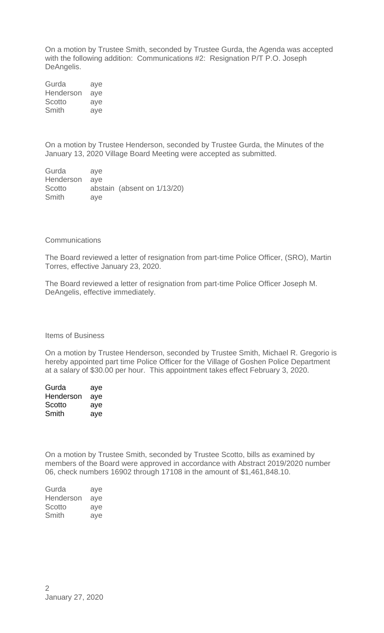On a motion by Trustee Smith, seconded by Trustee Gurda, the Agenda was accepted with the following addition: Communications #2: Resignation P/T P.O. Joseph DeAngelis.

Gurda aye Henderson aye Scotto aye Smith aye

On a motion by Trustee Henderson, seconded by Trustee Gurda, the Minutes of the January 13, 2020 Village Board Meeting were accepted as submitted.

Gurda aye Henderson aye Scotto abstain (absent on  $1/13/20$ ) Smith aye

## **Communications**

The Board reviewed a letter of resignation from part-time Police Officer, (SRO), Martin Torres, effective January 23, 2020.

The Board reviewed a letter of resignation from part-time Police Officer Joseph M. DeAngelis, effective immediately.

Items of Business

On a motion by Trustee Henderson, seconded by Trustee Smith, Michael R. Gregorio is hereby appointed part time Police Officer for the Village of Goshen Police Department at a salary of \$30.00 per hour. This appointment takes effect February 3, 2020.

| Gurda     | aye |
|-----------|-----|
| Henderson | aye |
| Scotto    | aye |
| Smith     | aye |

On a motion by Trustee Smith, seconded by Trustee Scotto, bills as examined by members of the Board were approved in accordance with Abstract 2019/2020 number 06, check numbers 16902 through 17108 in the amount of \$1,461,848.10.

| Gurda     | aye |
|-----------|-----|
| Henderson | aye |
| Scotto    | ave |
| Smith     | ave |